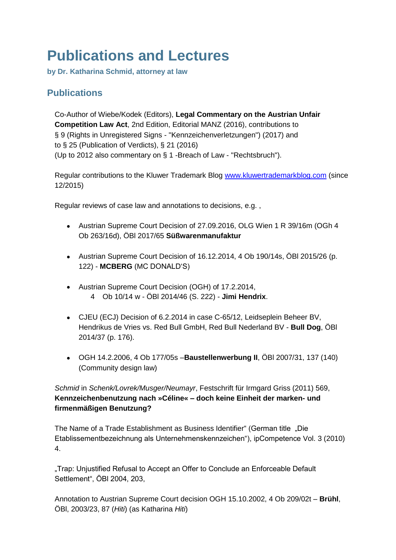## **Publications and Lectures**

**by Dr. Katharina Schmid, attorney at law**

## **Publications**

Co-Author of Wiebe/Kodek (Editors), **Legal Commentary on the Austrian Unfair Competition Law Act**, 2nd Edition, Editorial MANZ (2016), contributions to § 9 (Rights in Unregistered Signs - "Kennzeichenverletzungen") (2017) and to § 25 (Publication of Verdicts), § 21 (2016) (Up to 2012 also commentary on § 1 -Breach of Law - "Rechtsbruch").

Regular contributions to the Kluwer Trademark Blog [www.kluwertrademarkblog.com](http://www.kluwertrademarkblog.com/) (since 12/2015)

Regular reviews of case law and annotations to decisions, e.g. ,

- Austrian Supreme Court Decision of 27.09.2016, OLG Wien 1 R 39/16m (OGh 4 Ob 263/16d), ÖBl 2017/65 **Süßwarenmanufaktur**
- Austrian Supreme Court Decision of 16.12.2014, 4 Ob 190/14s, ÖBl 2015/26 (p. 122) - **MCBERG** (MC DONALD'S)
- Austrian Supreme Court Decision (OGH) of 17.2.2014, 4 Ob 10/14 w - ÖBl 2014/46 (S. 222) - **Jimi Hendrix**.
- CJEU (ECJ) Decision of 6.2.2014 in case C-65/12, Leidseplein Beheer BV, Hendrikus de Vries vs. Red Bull GmbH, Red Bull Nederland BV - **Bull Dog**, ÖBl 2014/37 (p. 176).
- OGH 14.2.2006, 4 Ob 177/05s –**Baustellenwerbung II**, ÖBl 2007/31, 137 (140) (Community design law)

*Schmid* in *Schenk/Lovrek/Musger/Neumayr*, Festschrift für Irmgard Griss (2011) 569, **Kennzeichenbenutzung nach »Céline« – doch keine Einheit der marken- und firmenmäßigen Benutzung?**

The Name of a Trade Establishment as Business Identifier" (German title "Die Etablissementbezeichnung als Unternehmenskennzeichen"), ipCompetence Vol. 3 (2010) 4.

"Trap: Unjustified Refusal to Accept an Offer to Conclude an Enforceable Default Settlement", ÖBl 2004, 203,

Annotation to Austrian Supreme Court decision OGH 15.10.2002, 4 Ob 209/02t – **Brühl**, ÖBl, 2003/23, 87 (*Hiti*) (as Katharina *Hiti*)